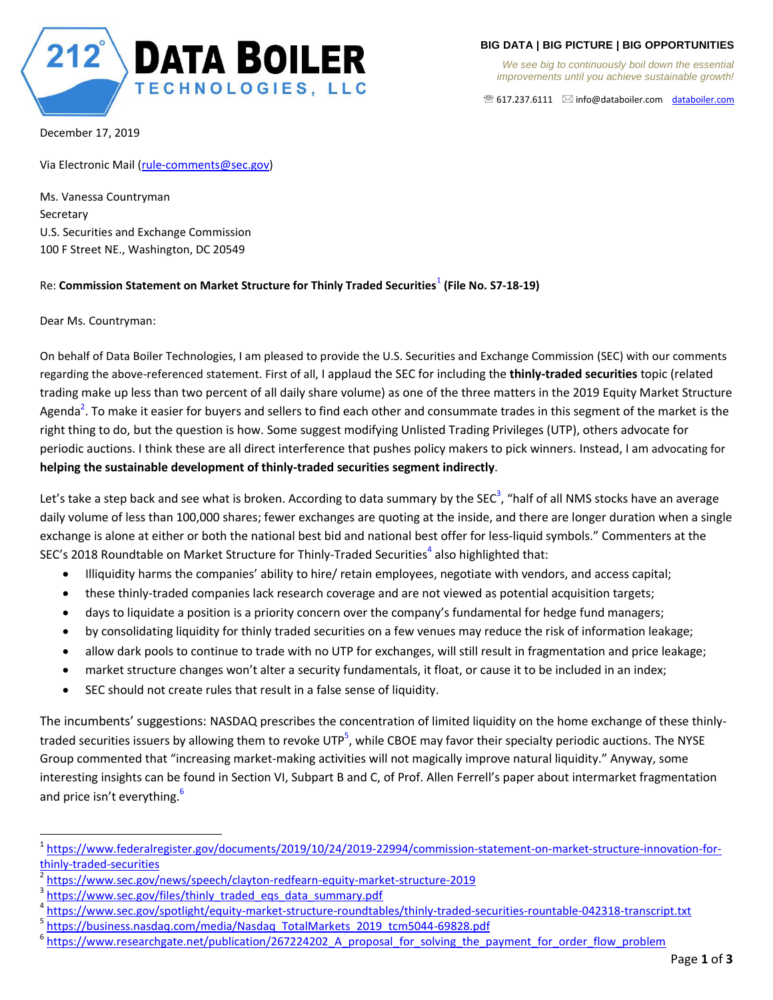

**BIG DATA | BIG PICTURE | BIG OPPORTUNITIES**

*We see big to continuously boil down the essential improvements until you achieve sustainable growth!*

617.237.6111 info@databoiler.com databoiler.com

December 17, 2019

Via Electronic Mail (rule-comments@sec.gov)

Ms. Vanessa Countryman **Secretary** U.S. Securities and Exchange Commission 100 F Street NE., Washington, DC 20549

## Re: **Commission Statement on Market Structure for Thinly Traded Securities**<sup>1</sup> **(File No. S7-18-19)**

Dear Ms. Countryman:

 $\overline{\phantom{a}}$ 

On behalf of Data Boiler Technologies, I am pleased to provide the U.S. Securities and Exchange Commission (SEC) with our comments regarding the above-referenced statement. First of all, I applaud the SEC for including the **thinly-traded securities** topic (related trading make up less than two percent of all daily share volume) as one of the three matters in the 2019 Equity Market Structure Agenda<sup>2</sup>. To make it easier for buyers and sellers to find each other and consummate trades in this segment of the market is the right thing to do, but the question is how. Some suggest modifying Unlisted Trading Privileges (UTP), others advocate for periodic auctions. I think these are all direct interference that pushes policy makers to pick winners. Instead, I am advocating for **helping the sustainable development of thinly-traded securities segment indirectly**.

Let's take a step back and see what is broken. According to data summary by the SEC<sup>3</sup>, "half of all NMS stocks have an average daily volume of less than 100,000 shares; fewer exchanges are quoting at the inside, and there are longer duration when a single exchange is alone at either or both the national best bid and national best offer for less-liquid symbols." Commenters at the SEC's 2018 Roundtable on Market Structure for Thinly-Traded Securities<sup>4</sup> also highlighted that:

- Illiquidity harms the companies' ability to hire/ retain employees, negotiate with vendors, and access capital;
- these thinly-traded companies lack research coverage and are not viewed as potential acquisition targets;
- days to liquidate a position is a priority concern over the company's fundamental for hedge fund managers;
- by consolidating liquidity for thinly traded securities on a few venues may reduce the risk of information leakage;
- allow dark pools to continue to trade with no UTP for exchanges, will still result in fragmentation and price leakage;
- market structure changes won't alter a security fundamentals, it float, or cause it to be included in an index;
- SEC should not create rules that result in a false sense of liquidity.

The incumbents' suggestions: NASDAQ prescribes the concentration of limited liquidity on the home exchange of these thinlytraded securities issuers by allowing them to revoke UTP<sup>5</sup>, while CBOE may favor their specialty periodic auctions. The NYSE Group commented that "increasing market-making activities will not magically improve natural liquidity." Anyway, some interesting insights can be found in Section VI, Subpart B and C, of Prof. Allen Ferrell's paper about intermarket fragmentation and price isn't everything.<sup>6</sup>

<sup>&</sup>lt;sup>1</sup>https://www.federalregister.gov/documents/2019/10/24/2019-22994/commission-statement-on-market-structure-innovation-forthinly-traded-securities

<sup>2</sup> https://www.sec.gov/news/speech/clayton-redfearn-equity-market-structure-2019

<sup>3</sup> https://www.sec.gov/files/thinly\_traded\_eqs\_data\_summary.pdf

<sup>4</sup> https://www.sec.gov/spotlight/equity-market-structure-roundtables/thinly-traded-securities-rountable-042318-transcript.txt

<sup>&</sup>lt;sup>5</sup> https://business.nasdaq.com/media/Nasdaq\_TotalMarkets\_2019\_tcm5044-69828.pdf

<sup>&</sup>lt;sup>6</sup> https://www.researchgate.net/publication/267224202 A proposal for solving the payment for order flow problem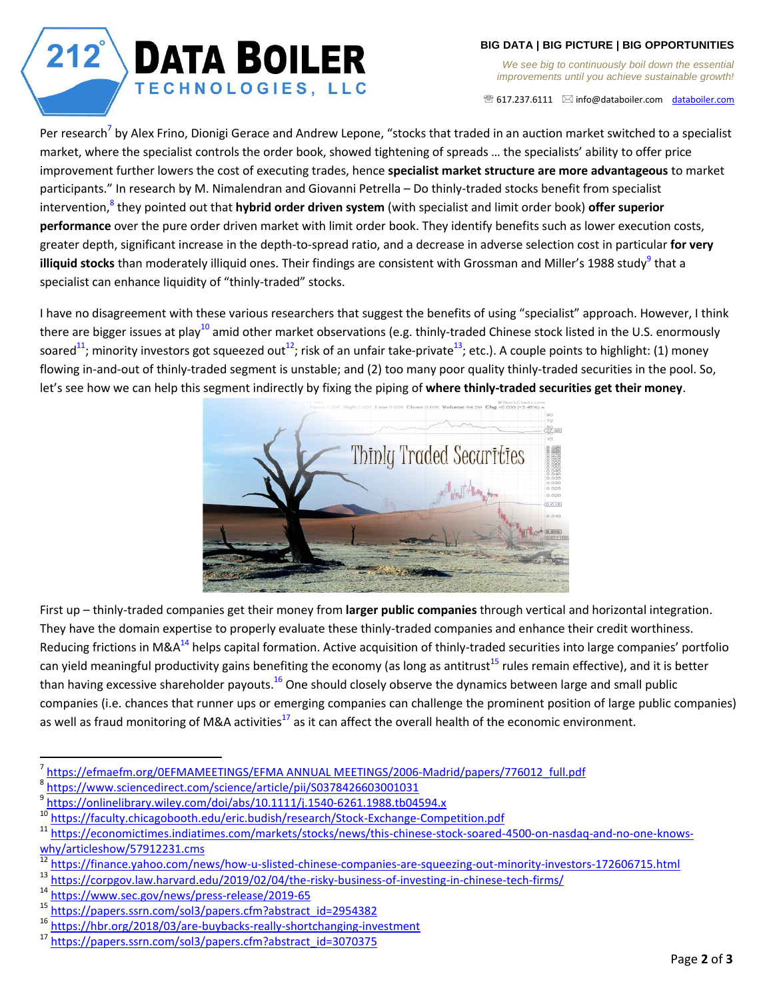## $212^{°}$ **DATA BOILER** TECHNOLOGIES, LLC

**BIG DATA | BIG PICTURE | BIG OPPORTUNITIES**

*We see big to continuously boil down the essential improvements until you achieve sustainable growth!*

 $\mathcal{B}$  617.237.6111  $\boxtimes$  info@databoiler.com databoiler.com

Per research<sup>7</sup> by Alex Frino, Dionigi Gerace and Andrew Lepone, "stocks that traded in an auction market switched to a specialist market, where the specialist controls the order book, showed tightening of spreads … the specialists' ability to offer price improvement further lowers the cost of executing trades, hence **specialist market structure are more advantageous** to market participants." In research by M. Nimalendran and Giovanni Petrella – Do thinly-traded stocks benefit from specialist intervention, 8 they pointed out that **hybrid order driven system** (with specialist and limit order book) **offer superior performance** over the pure order driven market with limit order book. They identify benefits such as lower execution costs, greater depth, significant increase in the depth-to-spread ratio, and a decrease in adverse selection cost in particular **for very**  illiquid stocks than moderately illiquid ones. Their findings are consistent with Grossman and Miller's 1988 study<sup>9</sup> that a specialist can enhance liquidity of "thinly-traded" stocks.

I have no disagreement with these various researchers that suggest the benefits of using "specialist" approach. However, I think there are bigger issues at play<sup>10</sup> amid other market observations (e.g. thinly-traded Chinese stock listed in the U.S. enormously soared<sup>11</sup>; minority investors got squeezed out<sup>12</sup>; risk of an unfair take-private<sup>13</sup>; etc.). A couple points to highlight: (1) money flowing in-and-out of thinly-traded segment is unstable; and (2) too many poor quality thinly-traded securities in the pool. So, let's see how we can help this segment indirectly by fixing the piping of **where thinly-traded securities get their money**.



First up – thinly-traded companies get their money from **larger public companies** through vertical and horizontal integration. They have the domain expertise to properly evaluate these thinly-traded companies and enhance their credit worthiness. Reducing frictions in M&A<sup>14</sup> helps capital formation. Active acquisition of thinly-traded securities into large companies' portfolio can yield meaningful productivity gains benefiting the economy (as long as antitrust<sup>15</sup> rules remain effective), and it is better than having excessive shareholder payouts.<sup>16</sup> One should closely observe the dynamics between large and small public companies (i.e. chances that runner ups or emerging companies can challenge the prominent position of large public companies) as well as fraud monitoring of M&A activities<sup>17</sup> as it can affect the overall health of the economic environment.

 $\overline{a}$ 

<sup>7</sup> https://efmaefm.org/0EFMAMEETINGS/EFMA ANNUAL MEETINGS/2006-Madrid/papers/776012\_full.pdf

<sup>8</sup> https://www.sciencedirect.com/science/article/pii/S0378426603001031

<sup>9</sup> https://onlinelibrary.wiley.com/doi/abs/10.1111/j.1540-6261.1988.tb04594.x

<sup>10</sup> https://faculty.chicagobooth.edu/eric.budish/research/Stock-Exchange-Competition.pdf

https://economictimes.indiatimes.com/markets/stocks/news/this-chinese-stock-soared-4500-on-nasdaq-and-no-one-knowswhy/articleshow/57912231.cms

 $\frac{12 \text{ https://finance.yahoo.com/news/how-u-slisted-chinese-companies-are-squeezing-out-minority-investors-172606715.html}{\text{https://cornowlaw haryard.edu/2019/02/04/the-ricky-husingesc-of-investing-out-thness-terch-firms/}$ 

 $^{13}$  https://corpgov.law.harvard.edu/2019/02/04/the-risky-business-of-investing-in-chinese-tech-firms/<br> $^{14}$  https://www.coc.gov/pows/pross\_rologso/2019\_65

 $\frac{14 \text{ https://www.sec.gov/news/press-release/2019-65}}{15 \text{ https://nonors.crn.com/cols/nonors.cfn2nptr}$ 

 $^{15}$  https://papers.ssrn.com/sol3/papers.cfm?abstract\_id=2954382<br> $^{16}$  https://hbr.org/2018/03/are-huybacks-really-shortchanging-inve

<sup>&</sup>lt;sup>16</sup> https://hbr.org/2018/03/are-buybacks-really-shortchanging-investment<br><sup>17</sup> https://papers.ssrp.com/sol3/papers.sfm2abstract\_id=2070375

https://papers.ssrn.com/sol3/papers.cfm?abstract\_id=3070375